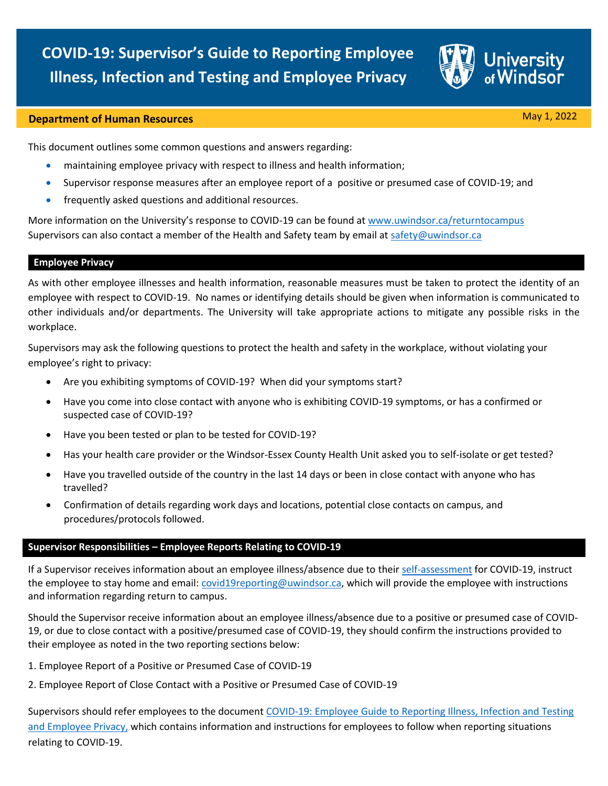

# **Department of Human Resources** May 1, 2022

This document outlines some common questions and answers regarding:

- maintaining employee privacy with respect to illness and health information;
- Supervisor response measures after an employee report of a positive or presumed case of COVID-19; and
- frequently asked questions and additional resources.

More information on the University's response to COVID-19 can be found a[t www.uwindsor.ca/returntocampus](http://www.uwindsor.ca/returntocampus)  Supervisors can also contact a member of the Health and Safety team by email a[t safety@uwindsor.ca](mailto:safety@uwindsor.ca)

## **Employee Privacy**

As with other employee illnesses and health information, reasonable measures must be taken to protect the identity of an employee with respect to COVID-19. No names or identifying details should be given when information is communicated to other individuals and/or departments. The University will take appropriate actions to mitigate any possible risks in the workplace.

Supervisors may ask the following questions to protect the health and safety in the workplace, without violating your employee's right to privacy:

- Are you exhibiting symptoms of COVID-19? When did your symptoms start?
- Have you come into close contact with anyone who is exhibiting COVID-19 symptoms, or has a confirmed or suspected case of COVID-19?
- Have you been tested or plan to be tested for COVID-19?
- Has your health care provider or the Windsor-Essex County Health Unit asked you to self-isolate or get tested?
- Have you travelled outside of the country in the last 14 days or been in close contact with anyone who has travelled?
- Confirmation of details regarding work days and locations, potential close contacts on campus, and procedures/protocols followed.

#### **Supervisor Responsibilities – Employee Reports Relating to COVID-19**

If a Supervisor receives information about an employee illness/absence due to thei[r self-assessment](mailto:self-assessment) for COVID-19, instruct the employee to stay home and email: [covid19reporting@uwindsor.ca,](mailto:covid19reporting@uwindsor.ca) which will provide the employee with instructions and information regarding return to campus.

Should the Supervisor receive information about an employee illness/absence due to a positive or presumed case of COVID-19, or due to close contact with a positive/presumed case of COVID-19, they should confirm the instructions provided to their employee as noted in the two reporting sections below:

- 1. Employee Report of a Positive or Presumed Case of COVID-19
- 2. Employee Report of Close Contact with a Positive or Presumed Case of COVID-19

Supervisors should refer employees to the document COVID-19: Employee Guide to Reporting Illness, Infection and Testing [and Employee Privacy,](https://www.uwindsor.ca/returntocampus/sites/uwindsor.ca.returntocampus/files/covid-19_employee_reporting_guide.pdf) which contains information and instructions for employees to follow when reporting situations relating to COVID-19.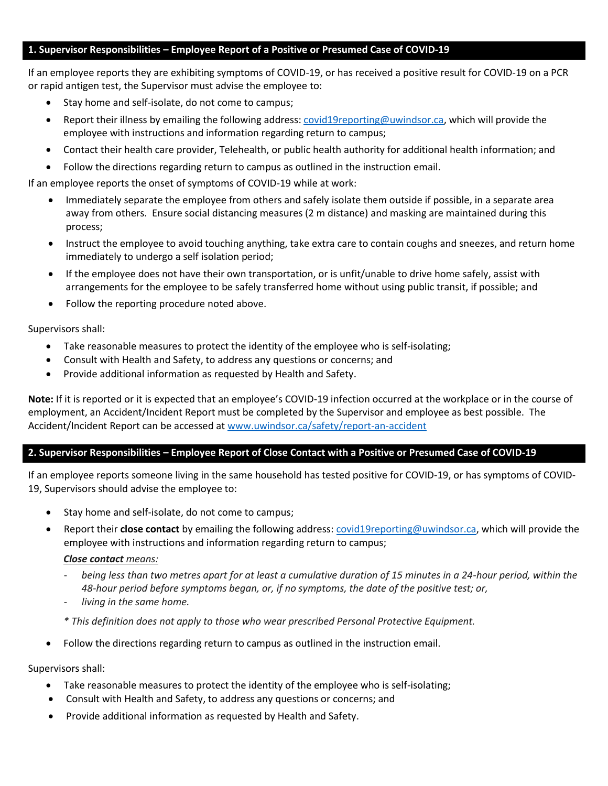## **1. Supervisor Responsibilities – Employee Report of a Positive or Presumed Case of COVID-19**

If an employee reports they are exhibiting symptoms of COVID-19, or has received a positive result for COVID-19 on a PCR or rapid antigen test, the Supervisor must advise the employee to:

- Stay home and self-isolate, do not come to campus;
- Report their illness by emailing the following address: [covid19reporting@uwindsor.ca,](mailto:covid19reporting@uwindsor.ca) which will provide the employee with instructions and information regarding return to campus;
- Contact their health care provider, Telehealth, or public health authority for additional health information; and
- Follow the directions regarding return to campus as outlined in the instruction email.

If an employee reports the onset of symptoms of COVID-19 while at work:

- Immediately separate the employee from others and safely isolate them outside if possible, in a separate area away from others. Ensure social distancing measures (2 m distance) and masking are maintained during this process;
- Instruct the employee to avoid touching anything, take extra care to contain coughs and sneezes, and return home immediately to undergo a self isolation period;
- If the employee does not have their own transportation, or is unfit/unable to drive home safely, assist with arrangements for the employee to be safely transferred home without using public transit, if possible; and
- Follow the reporting procedure noted above.

Supervisors shall:

- Take reasonable measures to protect the identity of the employee who is self-isolating;
- Consult with Health and Safety, to address any questions or concerns; and
- Provide additional information as requested by Health and Safety.

**Note:** If it is reported or it is expected that an employee's COVID-19 infection occurred at the workplace or in the course of employment, an Accident/Incident Report must be completed by the Supervisor and employee as best possible. The Accident/Incident Report can be accessed at [www.uwindsor.ca/safety/report-an-accident](http://www.uwindsor.ca/safety/report-an-accident)

# **2. Supervisor Responsibilities – Employee Report of Close Contact with a Positive or Presumed Case of COVID-19**

If an employee reports someone living in the same household has tested positive for COVID-19, or has symptoms of COVID-19, Supervisors should advise the employee to:

- Stay home and self-isolate, do not come to campus;
- Report their **close contact** by emailing the following address[: covid19reporting@uwindsor.ca,](mailto:covid19reporting@uwindsor.ca) which will provide the employee with instructions and information regarding return to campus;

## *Close contact means:*

- *being less than two metres apart for at least a cumulative duration of 15 minutes in a 24-hour period, within the 48-hour period before symptoms began, or, if no symptoms, the date of the positive test; or,*
- *living in the same home.*

*\* This definition does not apply to those who wear prescribed Personal Protective Equipment.*

• Follow the directions regarding return to campus as outlined in the instruction email.

Supervisors shall:

- Take reasonable measures to protect the identity of the employee who is self-isolating;
- Consult with Health and Safety, to address any questions or concerns; and
- Provide additional information as requested by Health and Safety.